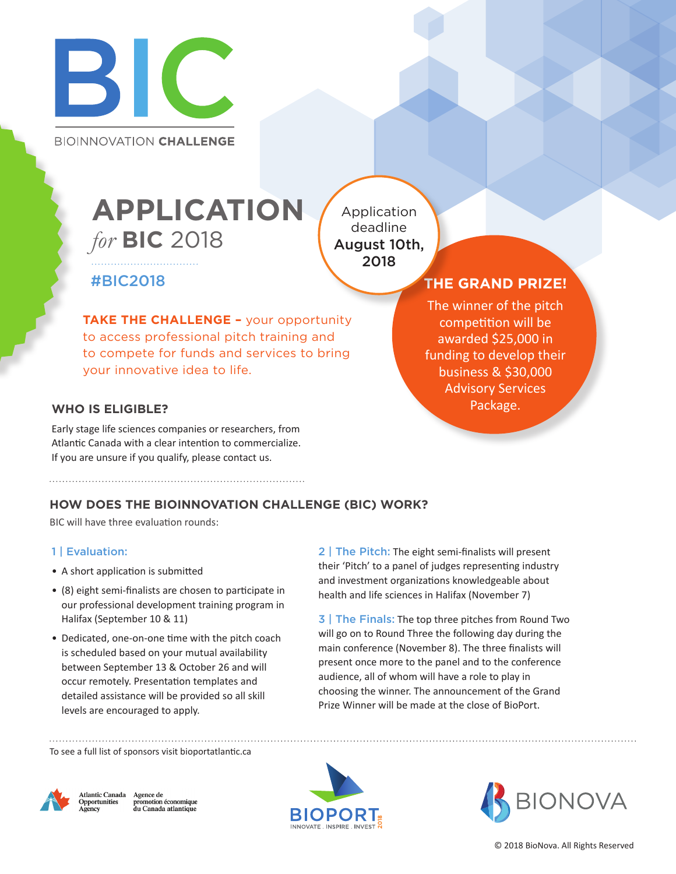

**BIOINNOVATION CHALLENGE** 

# *for* **BIC** 2018 **APPLICATION**

Application deadline August 10th, 2018

## #BIC2018

**TAKE THE CHALLENGE - your opportunity** to access professional pitch training and to compete for funds and services to bring your innovative idea to life.

### **WHO IS ELIGIBLE?**

Early stage life sciences companies or researchers, from Atlantic Canada with a clear intention to commercialize. If you are unsure if you qualify, please contact us.

# **THE GRAND PRIZE!**

The winner of the pitch competition will be awarded \$25,000 in funding to develop their business & \$30,000 Advisory Services Package.

### **HOW DOES THE BIOINNOVATION CHALLENGE (BIC) WORK?**

BIC will have three evaluation rounds:

#### 1 | Evaluation:

- A short application is submitted
- (8) eight semi-finalists are chosen to participate in our professional development training program in Halifax (September 10 & 11)
- Dedicated, one-on-one time with the pitch coach is scheduled based on your mutual availability between September 13 & October 26 and will occur remotely. Presentation templates and detailed assistance will be provided so all skill levels are encouraged to apply.

2 | The Pitch: The eight semi-finalists will present their 'Pitch' to a panel of judges representing industry and investment organizations knowledgeable about health and life sciences in Halifax (November 7)

3 | The Finals: The top three pitches from Round Two will go on to Round Three the following day during the main conference (November 8). The three finalists will present once more to the panel and to the conference audience, all of whom will have a role to play in choosing the winner. The announcement of the Grand Prize Winner will be made at the close of BioPort.

To see a full list of sponsors visit bioportatlantic.ca



Agence de<br>promotion économique<br>du Canada atlantique diantic Canada *Attantic Canal*<br>**Opportunities** 



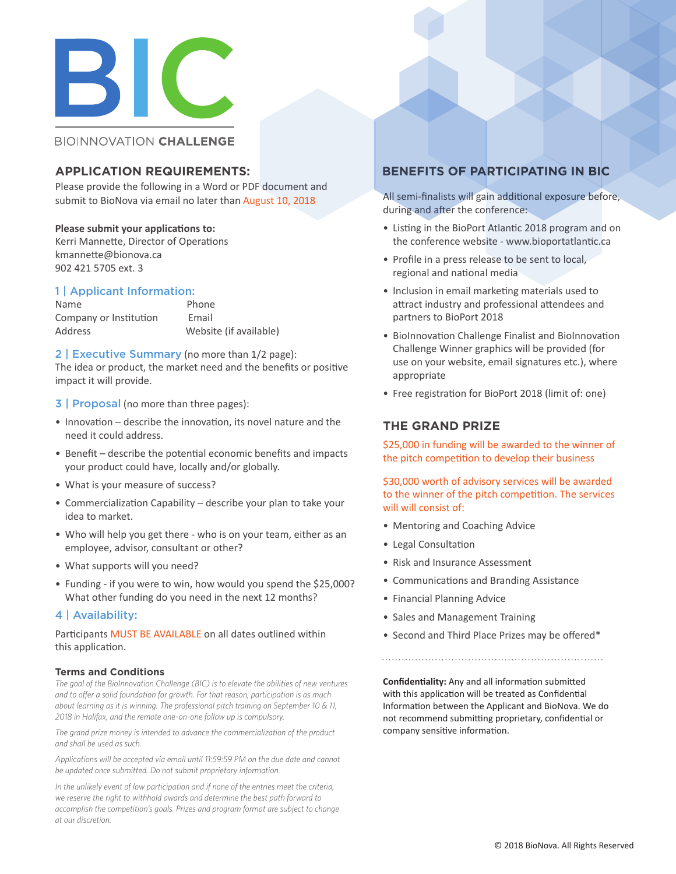

#### **BIOINNOVATION CHALLENGE**

Please provide the following in a Word or PDF document and submit to BioNova via email no later than August 10, 2018

#### **Please submit your applications to:**

Kerri Mannette, Director of Operations kmannette@bionova.ca 902 421 5705 ext. 3

#### 1 | Applicant Information:

Name Phone Company or Institution Email Address Website (if available)

2 | Executive Summary (no more than 1/2 page): The idea or product, the market need and the benefits or positive impact it will provide.

3 | Proposal (no more than three pages):

- Innovation describe the innovation, its novel nature and the need it could address.
- Benefit describe the potential economic benefits and impacts your product could have, locally and/or globally.
- What is your measure of success?
- Commercialization Capability describe your plan to take your idea to market.
- Who will help you get there who is on your team, either as an employee, advisor, consultant or other?
- What supports will you need?
- Funding if you were to win, how would you spend the \$25,000? What other funding do you need in the next 12 months?

#### 4 | Availability:

Participants MUST BE AVAILABLE on all dates outlined within this application.

#### **Terms and Conditions**

*The goal of the BioInnovation Challenge (BIC) is to elevate the abilities of new ventures and to offer a solid foundation for growth. For that reason, participation is as much about learning as it is winning. The professional pitch training on September 10 & 11, 2018 in Halifax, and the remote one-on-one follow up is compulsory.*

*The grand prize money is intended to advance the commercialization of the product and shall be used as such.*

*Applications will be accepted via email until 11:59:59 PM on the due date and cannot be updated once submitted. Do not submit proprietary information.*

*In the unlikely event of low participation and if none of the entries meet the criteria, we reserve the right to withhold awards and determine the best path forward to accomplish the competition's goals. Prizes and program format are subject to change at our discretion.*

#### **APPLICATION REQUIREMENTS: BENEFITS OF PARTICIPATING IN BIC**

All semi-finalists will gain additional exposure before, during and after the conference:

- Listing in the BioPort Atlantic 2018 program and on the conference website - www.bioportatlantic.ca
- Profile in a press release to be sent to local, regional and national media
- Inclusion in email marketing materials used to attract industry and professional attendees and partners to BioPort 2018
- BioInnovation Challenge Finalist and BioInnovation Challenge Winner graphics will be provided (for use on your website, email signatures etc.), where appropriate
- Free registration for BioPort 2018 (limit of: one)

#### **THE GRAND PRIZE**

\$25,000 in funding will be awarded to the winner of the pitch competition to develop their business

\$30,000 worth of advisory services will be awarded to the winner of the pitch competition. The services will will consist of:

- Mentoring and Coaching Advice
- Legal Consultation
- Risk and Insurance Assessment
- Communications and Branding Assistance
- Financial Planning Advice
- Sales and Management Training
- Second and Third Place Prizes may be offered\*

**Confidentiality:** Any and all information submitted with this application will be treated as Confidential Information between the Applicant and BioNova. We do not recommend submitting proprietary, confidential or company sensitive information.